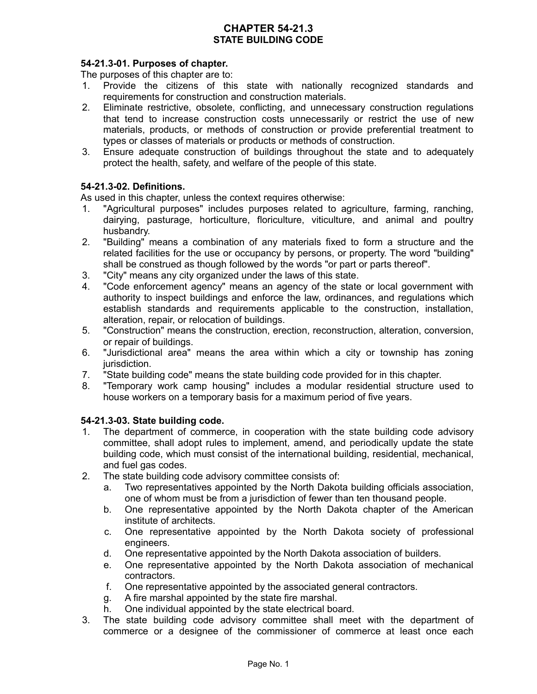# **CHAPTER 54-21.3 STATE BUILDING CODE**

## **54-21.3-01. Purposes of chapter.**

The purposes of this chapter are to:

- 1. Provide the citizens of this state with nationally recognized standards and requirements for construction and construction materials.
- 2. Eliminate restrictive, obsolete, conflicting, and unnecessary construction regulations that tend to increase construction costs unnecessarily or restrict the use of new materials, products, or methods of construction or provide preferential treatment to types or classes of materials or products or methods of construction.
- 3. Ensure adequate construction of buildings throughout the state and to adequately protect the health, safety, and welfare of the people of this state.

#### **54-21.3-02. Definitions.**

As used in this chapter, unless the context requires otherwise:

- 1. "Agricultural purposes" includes purposes related to agriculture, farming, ranching, dairying, pasturage, horticulture, floriculture, viticulture, and animal and poultry husbandry.
- 2. "Building" means a combination of any materials fixed to form a structure and the related facilities for the use or occupancy by persons, or property. The word "building" shall be construed as though followed by the words "or part or parts thereof".
- 3. "City" means any city organized under the laws of this state.
- 4. "Code enforcement agency" means an agency of the state or local government with authority to inspect buildings and enforce the law, ordinances, and regulations which establish standards and requirements applicable to the construction, installation, alteration, repair, or relocation of buildings.
- 5. "Construction" means the construction, erection, reconstruction, alteration, conversion, or repair of buildings.
- 6. "Jurisdictional area" means the area within which a city or township has zoning jurisdiction.
- 7. "State building code" means the state building code provided for in this chapter.
- 8. "Temporary work camp housing" includes a modular residential structure used to house workers on a temporary basis for a maximum period of five years.

## **54-21.3-03. State building code.**

- 1. The department of commerce, in cooperation with the state building code advisory committee, shall adopt rules to implement, amend, and periodically update the state building code, which must consist of the international building, residential, mechanical, and fuel gas codes.
- 2. The state building code advisory committee consists of:
	- a. Two representatives appointed by the North Dakota building officials association, one of whom must be from a jurisdiction of fewer than ten thousand people.
	- b. One representative appointed by the North Dakota chapter of the American institute of architects.
	- c. One representative appointed by the North Dakota society of professional engineers.
	- d. One representative appointed by the North Dakota association of builders.
	- e. One representative appointed by the North Dakota association of mechanical contractors.
	- f. One representative appointed by the associated general contractors.
	- g. A fire marshal appointed by the state fire marshal.
	- h. One individual appointed by the state electrical board.
- 3. The state building code advisory committee shall meet with the department of commerce or a designee of the commissioner of commerce at least once each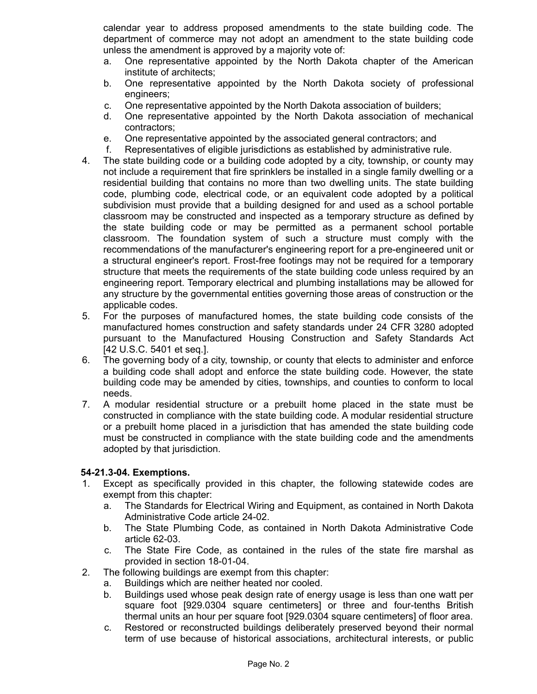calendar year to address proposed amendments to the state building code. The department of commerce may not adopt an amendment to the state building code unless the amendment is approved by a majority vote of:

- a. One representative appointed by the North Dakota chapter of the American institute of architects;
- b. One representative appointed by the North Dakota society of professional engineers;
- c. One representative appointed by the North Dakota association of builders;
- d. One representative appointed by the North Dakota association of mechanical contractors;
- e. One representative appointed by the associated general contractors; and
- f. Representatives of eligible jurisdictions as established by administrative rule.
- 4. The state building code or a building code adopted by a city, township, or county may not include a requirement that fire sprinklers be installed in a single family dwelling or a residential building that contains no more than two dwelling units. The state building code, plumbing code, electrical code, or an equivalent code adopted by a political subdivision must provide that a building designed for and used as a school portable classroom may be constructed and inspected as a temporary structure as defined by the state building code or may be permitted as a permanent school portable classroom. The foundation system of such a structure must comply with the recommendations of the manufacturer's engineering report for a pre-engineered unit or a structural engineer's report. Frost-free footings may not be required for a temporary structure that meets the requirements of the state building code unless required by an engineering report. Temporary electrical and plumbing installations may be allowed for any structure by the governmental entities governing those areas of construction or the applicable codes.
- 5. For the purposes of manufactured homes, the state building code consists of the manufactured homes construction and safety standards under 24 CFR 3280 adopted pursuant to the Manufactured Housing Construction and Safety Standards Act [42 U.S.C. 5401 et seq.].
- 6. The governing body of a city, township, or county that elects to administer and enforce a building code shall adopt and enforce the state building code. However, the state building code may be amended by cities, townships, and counties to conform to local needs.
- 7. A modular residential structure or a prebuilt home placed in the state must be constructed in compliance with the state building code. A modular residential structure or a prebuilt home placed in a jurisdiction that has amended the state building code must be constructed in compliance with the state building code and the amendments adopted by that jurisdiction.

## **54-21.3-04. Exemptions.**

- 1. Except as specifically provided in this chapter, the following statewide codes are exempt from this chapter:
	- a. The Standards for Electrical Wiring and Equipment, as contained in North Dakota Administrative Code article 24-02.
	- b. The State Plumbing Code, as contained in North Dakota Administrative Code article 62-03.
	- c. The State Fire Code, as contained in the rules of the state fire marshal as provided in section 18-01-04.
- 2. The following buildings are exempt from this chapter:
	- a. Buildings which are neither heated nor cooled.
	- b. Buildings used whose peak design rate of energy usage is less than one watt per square foot [929.0304 square centimeters] or three and four-tenths British thermal units an hour per square foot [929.0304 square centimeters] of floor area.
	- c. Restored or reconstructed buildings deliberately preserved beyond their normal term of use because of historical associations, architectural interests, or public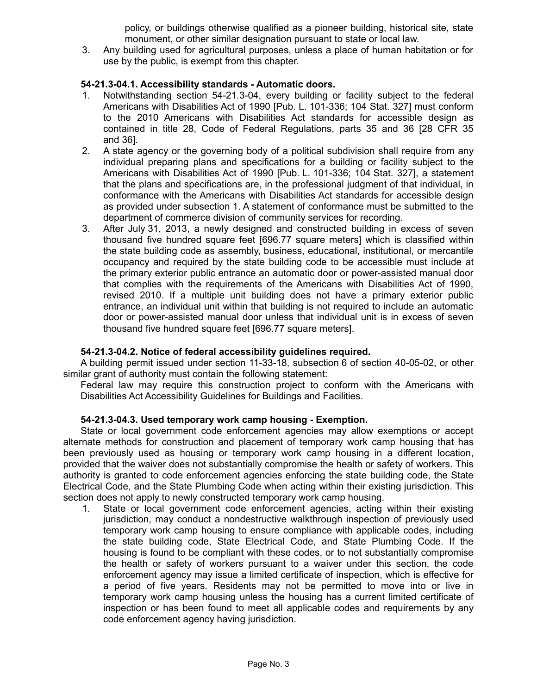policy, or buildings otherwise qualified as a pioneer building, historical site, state monument, or other similar designation pursuant to state or local law.

3. Any building used for agricultural purposes, unless a place of human habitation or for use by the public, is exempt from this chapter.

# **54-21.3-04.1. Accessibility standards - Automatic doors.**

- 1. Notwithstanding section 54-21.3-04, every building or facility subject to the federal Americans with Disabilities Act of 1990 [Pub. L. 101-336; 104 Stat. 327] must conform to the 2010 Americans with Disabilities Act standards for accessible design as contained in title 28, Code of Federal Regulations, parts 35 and 36 [28 CFR 35 and 36].
- 2. A state agency or the governing body of a political subdivision shall require from any individual preparing plans and specifications for a building or facility subject to the Americans with Disabilities Act of 1990 [Pub. L. 101-336; 104 Stat. 327], a statement that the plans and specifications are, in the professional judgment of that individual, in conformance with the Americans with Disabilities Act standards for accessible design as provided under subsection 1. A statement of conformance must be submitted to the department of commerce division of community services for recording.
- 3. After July 31, 2013, a newly designed and constructed building in excess of seven thousand five hundred square feet [696.77 square meters] which is classified within the state building code as assembly, business, educational, institutional, or mercantile occupancy and required by the state building code to be accessible must include at the primary exterior public entrance an automatic door or power-assisted manual door that complies with the requirements of the Americans with Disabilities Act of 1990, revised 2010. If a multiple unit building does not have a primary exterior public entrance, an individual unit within that building is not required to include an automatic door or power-assisted manual door unless that individual unit is in excess of seven thousand five hundred square feet [696.77 square meters].

## **54-21.3-04.2. Notice of federal accessibility guidelines required.**

A building permit issued under section 11-33-18, subsection 6 of section 40-05-02, or other similar grant of authority must contain the following statement:

Federal law may require this construction project to conform with the Americans with Disabilities Act Accessibility Guidelines for Buildings and Facilities.

#### **54-21.3-04.3. Used temporary work camp housing - Exemption.**

State or local government code enforcement agencies may allow exemptions or accept alternate methods for construction and placement of temporary work camp housing that has been previously used as housing or temporary work camp housing in a different location, provided that the waiver does not substantially compromise the health or safety of workers. This authority is granted to code enforcement agencies enforcing the state building code, the State Electrical Code, and the State Plumbing Code when acting within their existing jurisdiction. This section does not apply to newly constructed temporary work camp housing.

1. State or local government code enforcement agencies, acting within their existing jurisdiction, may conduct a nondestructive walkthrough inspection of previously used temporary work camp housing to ensure compliance with applicable codes, including the state building code, State Electrical Code, and State Plumbing Code. If the housing is found to be compliant with these codes, or to not substantially compromise the health or safety of workers pursuant to a waiver under this section, the code enforcement agency may issue a limited certificate of inspection, which is effective for a period of five years. Residents may not be permitted to move into or live in temporary work camp housing unless the housing has a current limited certificate of inspection or has been found to meet all applicable codes and requirements by any code enforcement agency having jurisdiction.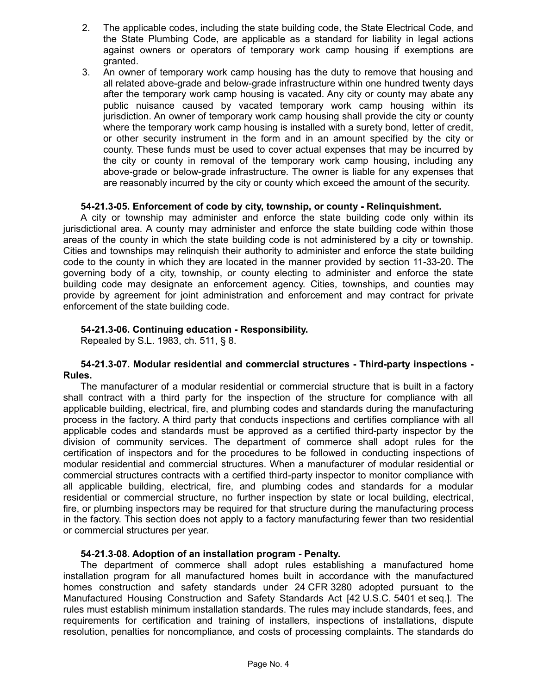- 2. The applicable codes, including the state building code, the State Electrical Code, and the State Plumbing Code, are applicable as a standard for liability in legal actions against owners or operators of temporary work camp housing if exemptions are granted.
- 3. An owner of temporary work camp housing has the duty to remove that housing and all related above-grade and below-grade infrastructure within one hundred twenty days after the temporary work camp housing is vacated. Any city or county may abate any public nuisance caused by vacated temporary work camp housing within its jurisdiction. An owner of temporary work camp housing shall provide the city or county where the temporary work camp housing is installed with a surety bond, letter of credit, or other security instrument in the form and in an amount specified by the city or county. These funds must be used to cover actual expenses that may be incurred by the city or county in removal of the temporary work camp housing, including any above-grade or below-grade infrastructure. The owner is liable for any expenses that are reasonably incurred by the city or county which exceed the amount of the security.

## **54-21.3-05. Enforcement of code by city, township, or county - Relinquishment.**

A city or township may administer and enforce the state building code only within its jurisdictional area. A county may administer and enforce the state building code within those areas of the county in which the state building code is not administered by a city or township. Cities and townships may relinquish their authority to administer and enforce the state building code to the county in which they are located in the manner provided by section 11-33-20. The governing body of a city, township, or county electing to administer and enforce the state building code may designate an enforcement agency. Cities, townships, and counties may provide by agreement for joint administration and enforcement and may contract for private enforcement of the state building code.

## **54-21.3-06. Continuing education - Responsibility.**

Repealed by S.L. 1983, ch. 511, § 8.

## **54-21.3-07. Modular residential and commercial structures - Third-party inspections - Rules.**

The manufacturer of a modular residential or commercial structure that is built in a factory shall contract with a third party for the inspection of the structure for compliance with all applicable building, electrical, fire, and plumbing codes and standards during the manufacturing process in the factory. A third party that conducts inspections and certifies compliance with all applicable codes and standards must be approved as a certified third-party inspector by the division of community services. The department of commerce shall adopt rules for the certification of inspectors and for the procedures to be followed in conducting inspections of modular residential and commercial structures. When a manufacturer of modular residential or commercial structures contracts with a certified third-party inspector to monitor compliance with all applicable building, electrical, fire, and plumbing codes and standards for a modular residential or commercial structure, no further inspection by state or local building, electrical, fire, or plumbing inspectors may be required for that structure during the manufacturing process in the factory. This section does not apply to a factory manufacturing fewer than two residential or commercial structures per year.

## **54-21.3-08. Adoption of an installation program - Penalty.**

The department of commerce shall adopt rules establishing a manufactured home installation program for all manufactured homes built in accordance with the manufactured homes construction and safety standards under 24 CFR 3280 adopted pursuant to the Manufactured Housing Construction and Safety Standards Act [42 U.S.C. 5401 et seq.]. The rules must establish minimum installation standards. The rules may include standards, fees, and requirements for certification and training of installers, inspections of installations, dispute resolution, penalties for noncompliance, and costs of processing complaints. The standards do